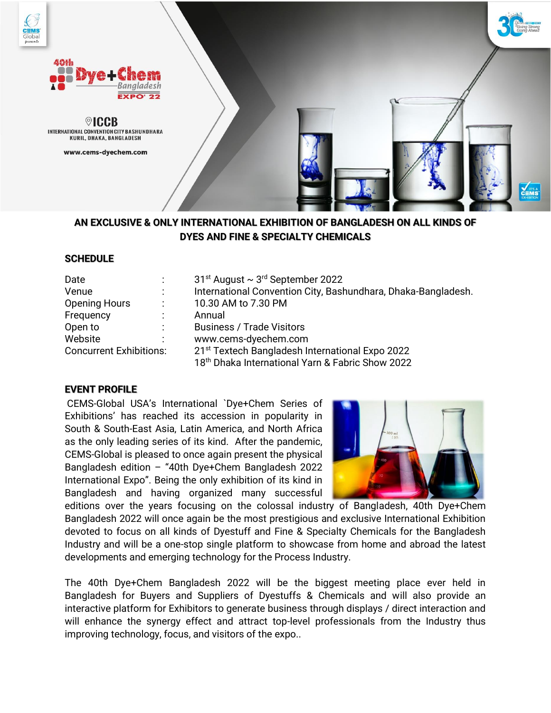

**AN EXCLUSIVE & ONLY INTERNATIONAL EXHIBITION OF BANGLADESH ON ALL KINDS OF DYES AND FINE & SPECIALTY CHEMICALS**

# **SCHEDULE**

| Date                           |                      | $31st$ August $\sim$ 3 <sup>rd</sup> September 2022           |
|--------------------------------|----------------------|---------------------------------------------------------------|
| Venue                          |                      | International Convention City, Bashundhara, Dhaka-Bangladesh. |
| <b>Opening Hours</b>           | $\ddot{\phantom{0}}$ | 10.30 AM to 7.30 PM                                           |
| Frequency                      | $\bullet$            | Annual                                                        |
| Open to                        | ٠.                   | <b>Business / Trade Visitors</b>                              |
| Website                        |                      | www.cems-dyechem.com                                          |
| <b>Concurrent Exhibitions:</b> |                      | 21 <sup>st</sup> Textech Bangladesh International Expo 2022   |
|                                |                      | 18th Dhaka International Yarn & Fabric Show 2022              |

# **EVENT PROFILE**

CEMS-Global USA's International `Dye+Chem Series of Exhibitions' has reached its accession in popularity in South & South-East Asia, Latin America, and North Africa as the only leading series of its kind. After the pandemic, CEMS-Global is pleased to once again present the physical Bangladesh edition – "40th Dye+Chem Bangladesh 2022 International Expo". Being the only exhibition of its kind in Bangladesh and having organized many successful



editions over the years focusing on the colossal industry of Bangladesh, 40th Dye+Chem Bangladesh 2022 will once again be the most prestigious and exclusive International Exhibition devoted to focus on all kinds of Dyestuff and Fine & Specialty Chemicals for the Bangladesh Industry and will be a one-stop single platform to showcase from home and abroad the latest developments and emerging technology for the Process Industry.

The 40th Dye+Chem Bangladesh 2022 will be the biggest meeting place ever held in Bangladesh for Buyers and Suppliers of Dyestuffs & Chemicals and will also provide an interactive platform for Exhibitors to generate business through displays / direct interaction and will enhance the synergy effect and attract top-level professionals from the Industry thus improving technology, focus, and visitors of the expo..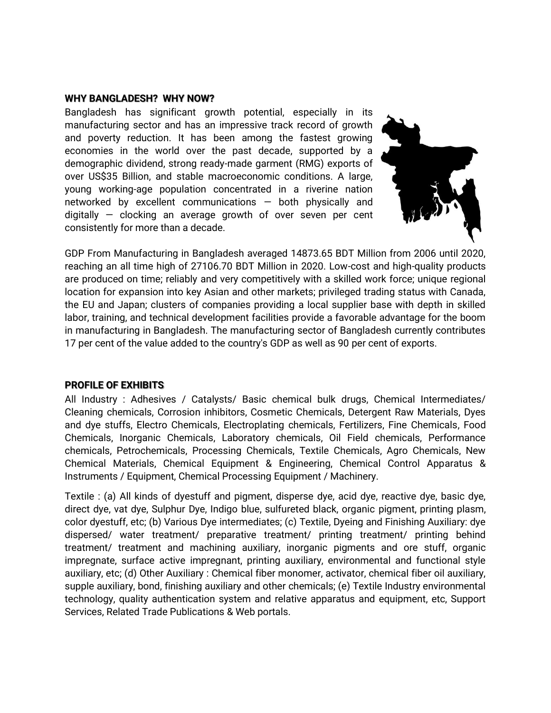#### **WHY BANGLADESH? WHY NOW?**

Bangladesh has significant growth potential, especially in its manufacturing sector and has an impressive track record of growth and poverty reduction. It has been among the fastest growing economies in the world over the past decade, supported by a demographic dividend, strong ready-made garment (RMG) exports of over US\$35 Billion, and stable macroeconomic conditions. A large, young working-age population concentrated in a riverine nation networked by excellent communications — both physically and digitally  $-$  clocking an average growth of over seven per cent consistently for more than a decade.



GDP From Manufacturing in Bangladesh averaged 14873.65 BDT Million from 2006 until 2020, reaching an all time high of 27106.70 BDT Million in 2020. Low-cost and high-quality products are produced on time; reliably and very competitively with a skilled work force; unique regional location for expansion into key Asian and other markets; privileged trading status with Canada, the EU and Japan; clusters of companies providing a local supplier base with depth in skilled labor, training, and technical development facilities provide a favorable advantage for the boom in manufacturing in Bangladesh. The manufacturing sector of Bangladesh currently contributes 17 per cent of the value added to the country's GDP as well as 90 per cent of exports.

### **PROFILE OF EXHIBITS**

All Industry : Adhesives / Catalysts/ Basic chemical bulk drugs, Chemical Intermediates/ Cleaning chemicals, Corrosion inhibitors, Cosmetic Chemicals, Detergent Raw Materials, Dyes and dye stuffs, Electro Chemicals, Electroplating chemicals, Fertilizers, Fine Chemicals, Food Chemicals, Inorganic Chemicals, Laboratory chemicals, Oil Field chemicals, Performance chemicals, Petrochemicals, Processing Chemicals, Textile Chemicals, Agro Chemicals, New Chemical Materials, Chemical Equipment & Engineering, Chemical Control Apparatus & Instruments / Equipment, Chemical Processing Equipment / Machinery.

Textile : (a) All kinds of dyestuff and pigment, disperse dye, acid dye, reactive dye, basic dye, direct dye, vat dye, Sulphur Dye, Indigo blue, sulfureted black, organic pigment, printing plasm, color dyestuff, etc; (b) Various Dye intermediates; (c) Textile, Dyeing and Finishing Auxiliary: dye dispersed/ water treatment/ preparative treatment/ printing treatment/ printing behind treatment/ treatment and machining auxiliary, inorganic pigments and ore stuff, organic impregnate, surface active impregnant, printing auxiliary, environmental and functional style auxiliary, etc; (d) Other Auxiliary : Chemical fiber monomer, activator, chemical fiber oil auxiliary, supple auxiliary, bond, finishing auxiliary and other chemicals; (e) Textile Industry environmental technology, quality authentication system and relative apparatus and equipment, etc, Support Services, Related Trade Publications & Web portals.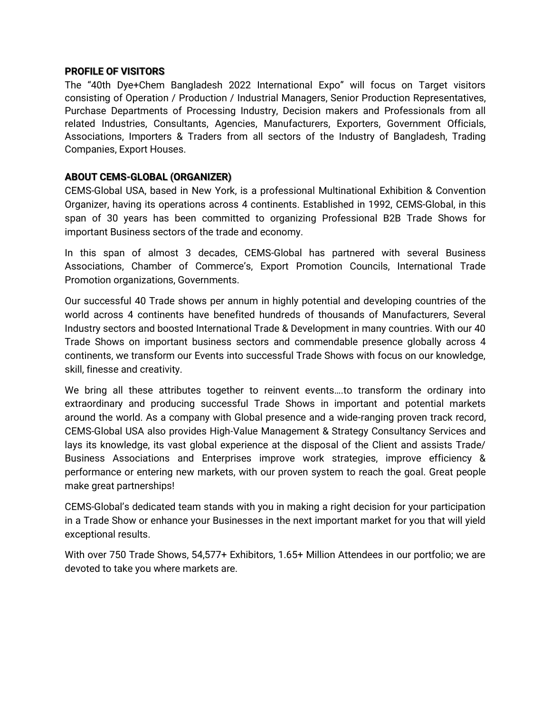## **PROFILE OF VISITORS**

The "40th Dye+Chem Bangladesh 2022 International Expo" will focus on Target visitors consisting of Operation / Production / Industrial Managers, Senior Production Representatives, Purchase Departments of Processing Industry, Decision makers and Professionals from all related Industries, Consultants, Agencies, Manufacturers, Exporters, Government Officials, Associations, Importers & Traders from all sectors of the Industry of Bangladesh, Trading Companies, Export Houses.

# **ABOUT CEMS-GLOBAL (ORGANIZER)**

CEMS-Global USA, based in New York, is a professional Multinational Exhibition & Convention Organizer, having its operations across 4 continents. Established in 1992, CEMS-Global, in this span of 30 years has been committed to organizing Professional B2B Trade Shows for important Business sectors of the trade and economy.

In this span of almost 3 decades, CEMS-Global has partnered with several Business Associations, Chamber of Commerce's, Export Promotion Councils, International Trade Promotion organizations, Governments.

Our successful 40 Trade shows per annum in highly potential and developing countries of the world across 4 continents have benefited hundreds of thousands of Manufacturers, Several Industry sectors and boosted International Trade & Development in many countries. With our 40 Trade Shows on important business sectors and commendable presence globally across 4 continents, we transform our Events into successful Trade Shows with focus on our knowledge, skill, finesse and creativity.

We bring all these attributes together to reinvent events….to transform the ordinary into extraordinary and producing successful Trade Shows in important and potential markets around the world. As a company with Global presence and a wide-ranging proven track record, CEMS-Global USA also provides High-Value Management & Strategy Consultancy Services and lays its knowledge, its vast global experience at the disposal of the Client and assists Trade/ Business Associations and Enterprises improve work strategies, improve efficiency & performance or entering new markets, with our proven system to reach the goal. Great people make great partnerships!

CEMS-Global's dedicated team stands with you in making a right decision for your participation in a Trade Show or enhance your Businesses in the next important market for you that will yield exceptional results.

With over 750 Trade Shows, 54,577+ Exhibitors, 1.65+ Million Attendees in our portfolio; we are devoted to take you where markets are.